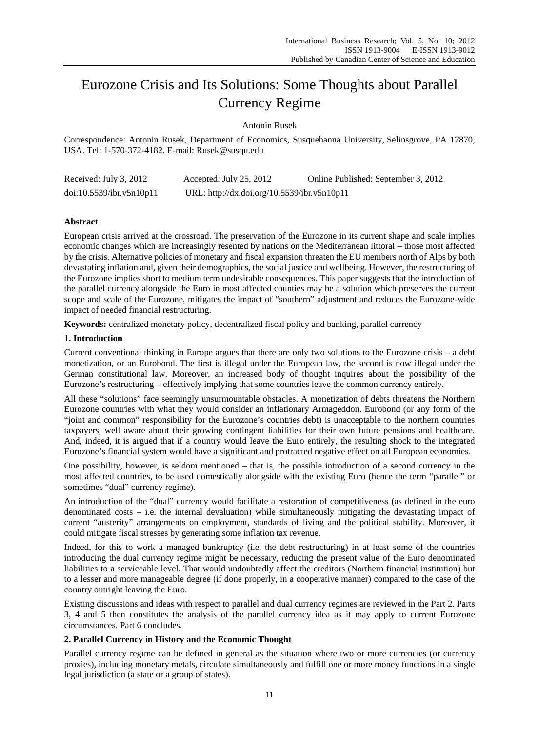# Eurozone Crisis and Its Solutions: Some Thoughts about Parallel Currency Regime

Antonin Rusek

Correspondence: Antonin Rusek, Department of Economics, Susquehanna University, Selinsgrove, PA 17870, USA. Tel: 1-570-372-4182. E-mail: Rusek@susqu.edu

| Received: July 3, 2012   | Accepted: July 25, 2012                     | Online Published: September 3, 2012 |
|--------------------------|---------------------------------------------|-------------------------------------|
| doi:10.5539/ibr.v5n10p11 | URL: http://dx.doi.org/10.5539/ibr.v5n10p11 |                                     |

# **Abstract**

European crisis arrived at the crossroad. The preservation of the Eurozone in its current shape and scale implies economic changes which are increasingly resented by nations on the Mediterranean littoral – those most affected by the crisis. Alternative policies of monetary and fiscal expansion threaten the EU members north of Alps by both devastating inflation and, given their demographics, the social justice and wellbeing. However, the restructuring of the Eurozone implies short to medium term undesirable consequences. This paper suggests that the introduction of the parallel currency alongside the Euro in most affected counties may be a solution which preserves the current scope and scale of the Eurozone, mitigates the impact of "southern" adjustment and reduces the Eurozone-wide impact of needed financial restructuring.

**Keywords:** centralized monetary policy, decentralized fiscal policy and banking, parallel currency

## **1. Introduction**

Current conventional thinking in Europe argues that there are only two solutions to the Eurozone crisis – a debt monetization, or an Eurobond. The first is illegal under the European law, the second is now illegal under the German constitutional law. Moreover, an increased body of thought inquires about the possibility of the Eurozone's restructuring – effectively implying that some countries leave the common currency entirely.

All these "solutions" face seemingly unsurmountable obstacles. A monetization of debts threatens the Northern Eurozone countries with what they would consider an inflationary Armageddon. Eurobond (or any form of the "joint and common" responsibility for the Eurozone's countries debt) is unacceptable to the northern countries taxpayers, well aware about their growing contingent liabilities for their own future pensions and healthcare. And, indeed, it is argued that if a country would leave the Euro entirely, the resulting shock to the integrated Eurozone's financial system would have a significant and protracted negative effect on all European economies.

One possibility, however, is seldom mentioned – that is, the possible introduction of a second currency in the most affected countries, to be used domestically alongside with the existing Euro (hence the term "parallel" or sometimes "dual" currency regime).

An introduction of the "dual" currency would facilitate a restoration of competitiveness (as defined in the euro denominated costs – i.e. the internal devaluation) while simultaneously mitigating the devastating impact of current "austerity" arrangements on employment, standards of living and the political stability. Moreover, it could mitigate fiscal stresses by generating some inflation tax revenue.

Indeed, for this to work a managed bankruptcy (i.e. the debt restructuring) in at least some of the countries introducing the dual currency regime might be necessary, reducing the present value of the Euro denominated liabilities to a serviceable level. That would undoubtedly affect the creditors (Northern financial institution) but to a lesser and more manageable degree (if done properly, in a cooperative manner) compared to the case of the country outright leaving the Euro.

Existing discussions and ideas with respect to parallel and dual currency regimes are reviewed in the Part 2. Parts 3, 4 and 5 then constitutes the analysis of the parallel currency idea as it may apply to current Eurozone circumstances. Part 6 concludes.

## **2. Parallel Currency in History and the Economic Thought**

Parallel currency regime can be defined in general as the situation where two or more currencies (or currency proxies), including monetary metals, circulate simultaneously and fulfill one or more money functions in a single legal jurisdiction (a state or a group of states).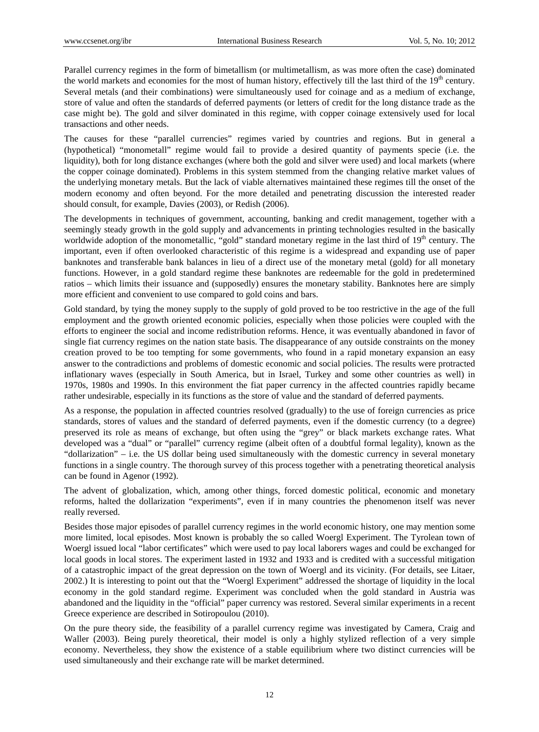Parallel currency regimes in the form of bimetallism (or multimetallism, as was more often the case) dominated the world markets and economies for the most of human history, effectively till the last third of the 19<sup>th</sup> century. Several metals (and their combinations) were simultaneously used for coinage and as a medium of exchange, store of value and often the standards of deferred payments (or letters of credit for the long distance trade as the case might be). The gold and silver dominated in this regime, with copper coinage extensively used for local transactions and other needs.

The causes for these "parallel currencies" regimes varied by countries and regions. But in general a (hypothetical) "monometall" regime would fail to provide a desired quantity of payments specie (i.e. the liquidity), both for long distance exchanges (where both the gold and silver were used) and local markets (where the copper coinage dominated). Problems in this system stemmed from the changing relative market values of the underlying monetary metals. But the lack of viable alternatives maintained these regimes till the onset of the modern economy and often beyond. For the more detailed and penetrating discussion the interested reader should consult, for example, Davies (2003), or Redish (2006).

The developments in techniques of government, accounting, banking and credit management, together with a seemingly steady growth in the gold supply and advancements in printing technologies resulted in the basically worldwide adoption of the monometallic, "gold" standard monetary regime in the last third of 19<sup>th</sup> century. The important, even if often overlooked characteristic of this regime is a widespread and expanding use of paper banknotes and transferable bank balances in lieu of a direct use of the monetary metal (gold) for all monetary functions. However, in a gold standard regime these banknotes are redeemable for the gold in predetermined ratios – which limits their issuance and (supposedly) ensures the monetary stability. Banknotes here are simply more efficient and convenient to use compared to gold coins and bars.

Gold standard, by tying the money supply to the supply of gold proved to be too restrictive in the age of the full employment and the growth oriented economic policies, especially when those policies were coupled with the efforts to engineer the social and income redistribution reforms. Hence, it was eventually abandoned in favor of single fiat currency regimes on the nation state basis. The disappearance of any outside constraints on the money creation proved to be too tempting for some governments, who found in a rapid monetary expansion an easy answer to the contradictions and problems of domestic economic and social policies. The results were protracted inflationary waves (especially in South America, but in Israel, Turkey and some other countries as well) in 1970s, 1980s and 1990s. In this environment the fiat paper currency in the affected countries rapidly became rather undesirable, especially in its functions as the store of value and the standard of deferred payments.

As a response, the population in affected countries resolved (gradually) to the use of foreign currencies as price standards, stores of values and the standard of deferred payments, even if the domestic currency (to a degree) preserved its role as means of exchange, but often using the "grey" or black markets exchange rates. What developed was a "dual" or "parallel" currency regime (albeit often of a doubtful formal legality), known as the "dollarization" – i.e. the US dollar being used simultaneously with the domestic currency in several monetary functions in a single country. The thorough survey of this process together with a penetrating theoretical analysis can be found in Agenor (1992).

The advent of globalization, which, among other things, forced domestic political, economic and monetary reforms, halted the dollarization "experiments", even if in many countries the phenomenon itself was never really reversed.

Besides those major episodes of parallel currency regimes in the world economic history, one may mention some more limited, local episodes. Most known is probably the so called Woergl Experiment. The Tyrolean town of Woergl issued local "labor certificates" which were used to pay local laborers wages and could be exchanged for local goods in local stores. The experiment lasted in 1932 and 1933 and is credited with a successful mitigation of a catastrophic impact of the great depression on the town of Woergl and its vicinity. (For details, see Litaer, 2002.) It is interesting to point out that the "Woergl Experiment" addressed the shortage of liquidity in the local economy in the gold standard regime. Experiment was concluded when the gold standard in Austria was abandoned and the liquidity in the "official" paper currency was restored. Several similar experiments in a recent Greece experience are described in Sotiropoulou (2010).

On the pure theory side, the feasibility of a parallel currency regime was investigated by Camera, Craig and Waller (2003). Being purely theoretical, their model is only a highly stylized reflection of a very simple economy. Nevertheless, they show the existence of a stable equilibrium where two distinct currencies will be used simultaneously and their exchange rate will be market determined.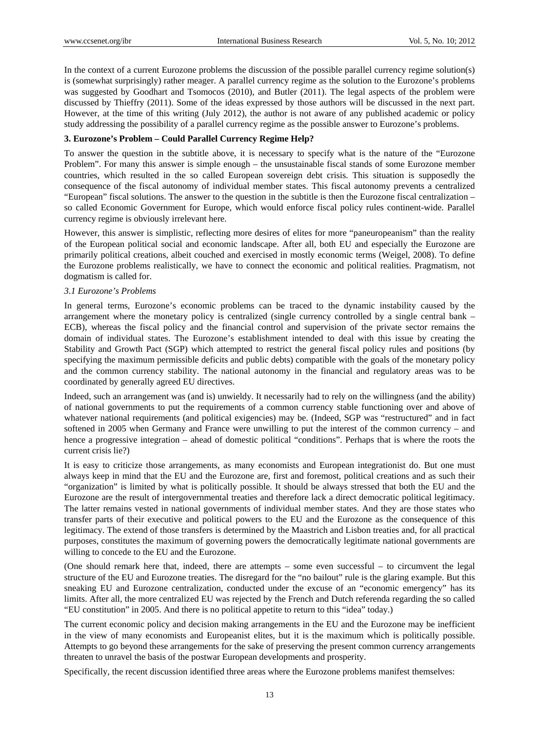In the context of a current Eurozone problems the discussion of the possible parallel currency regime solution(s) is (somewhat surprisingly) rather meager. A parallel currency regime as the solution to the Eurozone's problems was suggested by Goodhart and Tsomocos (2010), and Butler (2011). The legal aspects of the problem were discussed by Thieffry (2011). Some of the ideas expressed by those authors will be discussed in the next part. However, at the time of this writing (July 2012), the author is not aware of any published academic or policy study addressing the possibility of a parallel currency regime as the possible answer to Eurozone's problems.

# **3. Eurozone's Problem – Could Parallel Currency Regime Help?**

To answer the question in the subtitle above, it is necessary to specify what is the nature of the "Eurozone Problem". For many this answer is simple enough – the unsustainable fiscal stands of some Eurozone member countries, which resulted in the so called European sovereign debt crisis. This situation is supposedly the consequence of the fiscal autonomy of individual member states. This fiscal autonomy prevents a centralized "European" fiscal solutions. The answer to the question in the subtitle is then the Eurozone fiscal centralization – so called Economic Government for Europe, which would enforce fiscal policy rules continent-wide. Parallel currency regime is obviously irrelevant here.

However, this answer is simplistic, reflecting more desires of elites for more "paneuropeanism" than the reality of the European political social and economic landscape. After all, both EU and especially the Eurozone are primarily political creations, albeit couched and exercised in mostly economic terms (Weigel, 2008). To define the Eurozone problems realistically, we have to connect the economic and political realities. Pragmatism, not dogmatism is called for.

## *3.1 Eurozone's Problems*

In general terms, Eurozone's economic problems can be traced to the dynamic instability caused by the arrangement where the monetary policy is centralized (single currency controlled by a single central bank – ECB), whereas the fiscal policy and the financial control and supervision of the private sector remains the domain of individual states. The Eurozone's establishment intended to deal with this issue by creating the Stability and Growth Pact (SGP) which attempted to restrict the general fiscal policy rules and positions (by specifying the maximum permissible deficits and public debts) compatible with the goals of the monetary policy and the common currency stability. The national autonomy in the financial and regulatory areas was to be coordinated by generally agreed EU directives.

Indeed, such an arrangement was (and is) unwieldy. It necessarily had to rely on the willingness (and the ability) of national governments to put the requirements of a common currency stable functioning over and above of whatever national requirements (and political exigencies) may be. (Indeed, SGP was "restructured" and in fact softened in 2005 when Germany and France were unwilling to put the interest of the common currency – and hence a progressive integration – ahead of domestic political "conditions". Perhaps that is where the roots the current crisis lie?)

It is easy to criticize those arrangements, as many economists and European integrationist do. But one must always keep in mind that the EU and the Eurozone are, first and foremost, political creations and as such their "organization" is limited by what is politically possible. It should be always stressed that both the EU and the Eurozone are the result of intergovernmental treaties and therefore lack a direct democratic political legitimacy. The latter remains vested in national governments of individual member states. And they are those states who transfer parts of their executive and political powers to the EU and the Eurozone as the consequence of this legitimacy. The extend of those transfers is determined by the Maastrich and Lisbon treaties and, for all practical purposes, constitutes the maximum of governing powers the democratically legitimate national governments are willing to concede to the EU and the Eurozone.

(One should remark here that, indeed, there are attempts – some even successful – to circumvent the legal structure of the EU and Eurozone treaties. The disregard for the "no bailout" rule is the glaring example. But this sneaking EU and Eurozone centralization, conducted under the excuse of an "economic emergency" has its limits. After all, the more centralized EU was rejected by the French and Dutch referenda regarding the so called "EU constitution" in 2005. And there is no political appetite to return to this "idea" today.)

The current economic policy and decision making arrangements in the EU and the Eurozone may be inefficient in the view of many economists and Europeanist elites, but it is the maximum which is politically possible. Attempts to go beyond these arrangements for the sake of preserving the present common currency arrangements threaten to unravel the basis of the postwar European developments and prosperity.

Specifically, the recent discussion identified three areas where the Eurozone problems manifest themselves: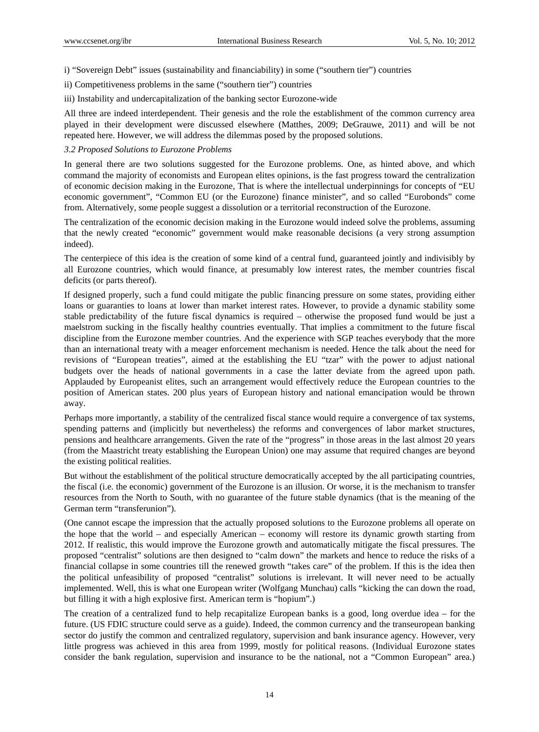i) "Sovereign Debt" issues (sustainability and financiability) in some ("southern tier") countries

ii) Competitiveness problems in the same ("southern tier") countries

iii) Instability and undercapitalization of the banking sector Eurozone-wide

All three are indeed interdependent. Their genesis and the role the establishment of the common currency area played in their development were discussed elsewhere (Matthes, 2009; DeGrauwe, 2011) and will be not repeated here. However, we will address the dilemmas posed by the proposed solutions.

#### *3.2 Proposed Solutions to Eurozone Problems*

In general there are two solutions suggested for the Eurozone problems. One, as hinted above, and which command the majority of economists and European elites opinions, is the fast progress toward the centralization of economic decision making in the Eurozone, That is where the intellectual underpinnings for concepts of "EU economic government", "Common EU (or the Eurozone) finance minister", and so called "Eurobonds" come from. Alternatively, some people suggest a dissolution or a territorial reconstruction of the Eurozone.

The centralization of the economic decision making in the Eurozone would indeed solve the problems, assuming that the newly created "economic" government would make reasonable decisions (a very strong assumption indeed).

The centerpiece of this idea is the creation of some kind of a central fund, guaranteed jointly and indivisibly by all Eurozone countries, which would finance, at presumably low interest rates, the member countries fiscal deficits (or parts thereof).

If designed properly, such a fund could mitigate the public financing pressure on some states, providing either loans or guaranties to loans at lower than market interest rates. However, to provide a dynamic stability some stable predictability of the future fiscal dynamics is required – otherwise the proposed fund would be just a maelstrom sucking in the fiscally healthy countries eventually. That implies a commitment to the future fiscal discipline from the Eurozone member countries. And the experience with SGP teaches everybody that the more than an international treaty with a meager enforcement mechanism is needed. Hence the talk about the need for revisions of "European treaties", aimed at the establishing the EU "tzar" with the power to adjust national budgets over the heads of national governments in a case the latter deviate from the agreed upon path. Applauded by Europeanist elites, such an arrangement would effectively reduce the European countries to the position of American states. 200 plus years of European history and national emancipation would be thrown away.

Perhaps more importantly, a stability of the centralized fiscal stance would require a convergence of tax systems, spending patterns and (implicitly but nevertheless) the reforms and convergences of labor market structures, pensions and healthcare arrangements. Given the rate of the "progress" in those areas in the last almost 20 years (from the Maastricht treaty establishing the European Union) one may assume that required changes are beyond the existing political realities.

But without the establishment of the political structure democratically accepted by the all participating countries, the fiscal (i.e. the economic) government of the Eurozone is an illusion. Or worse, it is the mechanism to transfer resources from the North to South, with no guarantee of the future stable dynamics (that is the meaning of the German term "transferunion").

(One cannot escape the impression that the actually proposed solutions to the Eurozone problems all operate on the hope that the world – and especially American – economy will restore its dynamic growth starting from 2012. If realistic, this would improve the Eurozone growth and automatically mitigate the fiscal pressures. The proposed "centralist" solutions are then designed to "calm down" the markets and hence to reduce the risks of a financial collapse in some countries till the renewed growth "takes care" of the problem. If this is the idea then the political unfeasibility of proposed "centralist" solutions is irrelevant. It will never need to be actually implemented. Well, this is what one European writer (Wolfgang Munchau) calls "kicking the can down the road, but filling it with a high explosive first. American term is "hopium".)

The creation of a centralized fund to help recapitalize European banks is a good, long overdue idea – for the future. (US FDIC structure could serve as a guide). Indeed, the common currency and the transeuropean banking sector do justify the common and centralized regulatory, supervision and bank insurance agency. However, very little progress was achieved in this area from 1999, mostly for political reasons. (Individual Eurozone states consider the bank regulation, supervision and insurance to be the national, not a "Common European" area.)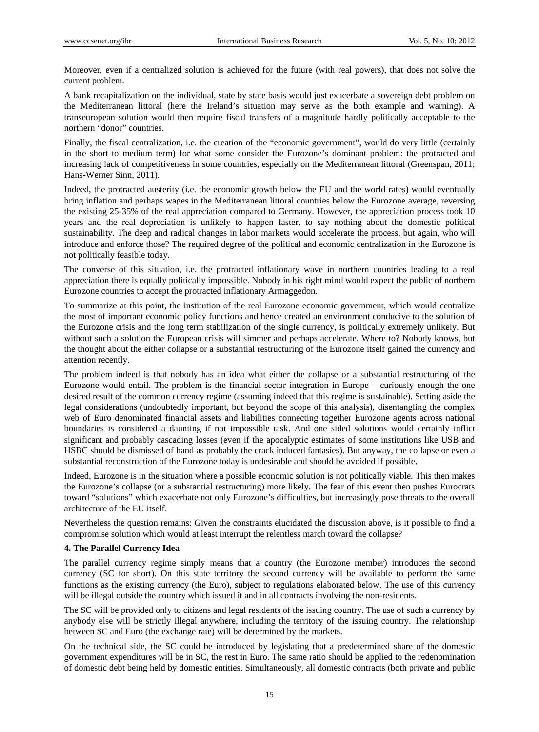Moreover, even if a centralized solution is achieved for the future (with real powers), that does not solve the current problem.

A bank recapitalization on the individual, state by state basis would just exacerbate a sovereign debt problem on the Mediterranean littoral (here the Ireland's situation may serve as the both example and warning). A transeuropean solution would then require fiscal transfers of a magnitude hardly politically acceptable to the northern "donor" countries.

Finally, the fiscal centralization, i.e. the creation of the "economic government", would do very little (certainly in the short to medium term) for what some consider the Eurozone's dominant problem: the protracted and increasing lack of competitiveness in some countries, especially on the Mediterranean littoral (Greenspan, 2011; Hans-Werner Sinn, 2011).

Indeed, the protracted austerity (i.e. the economic growth below the EU and the world rates) would eventually bring inflation and perhaps wages in the Mediterranean littoral countries below the Eurozone average, reversing the existing 25-35% of the real appreciation compared to Germany. However, the appreciation process took 10 years and the real depreciation is unlikely to happen faster, to say nothing about the domestic political sustainability. The deep and radical changes in labor markets would accelerate the process, but again, who will introduce and enforce those? The required degree of the political and economic centralization in the Eurozone is not politically feasible today.

The converse of this situation, i.e. the protracted inflationary wave in northern countries leading to a real appreciation there is equally politically impossible. Nobody in his right mind would expect the public of northern Eurozone countries to accept the protracted inflationary Armaggedon.

To summarize at this point, the institution of the real Eurozone economic government, which would centralize the most of important economic policy functions and hence created an environment conducive to the solution of the Eurozone crisis and the long term stabilization of the single currency, is politically extremely unlikely. But without such a solution the European crisis will simmer and perhaps accelerate. Where to? Nobody knows, but the thought about the either collapse or a substantial restructuring of the Eurozone itself gained the currency and attention recently.

The problem indeed is that nobody has an idea what either the collapse or a substantial restructuring of the Eurozone would entail. The problem is the financial sector integration in Europe – curiously enough the one desired result of the common currency regime (assuming indeed that this regime is sustainable). Setting aside the legal considerations (undoubtedly important, but beyond the scope of this analysis), disentangling the complex web of Euro denominated financial assets and liabilities connecting together Eurozone agents across national boundaries is considered a daunting if not impossible task. And one sided solutions would certainly inflict significant and probably cascading losses (even if the apocalyptic estimates of some institutions like USB and HSBC should be dismissed of hand as probably the crack induced fantasies). But anyway, the collapse or even a substantial reconstruction of the Eurozone today is undesirable and should be avoided if possible.

Indeed, Eurozone is in the situation where a possible economic solution is not politically viable. This then makes the Eurozone's collapse (or a substantial restructuring) more likely. The fear of this event then pushes Eurocrats toward "solutions" which exacerbate not only Eurozone's difficulties, but increasingly pose threats to the overall architecture of the EU itself.

Nevertheless the question remains: Given the constraints elucidated the discussion above, is it possible to find a compromise solution which would at least interrupt the relentless march toward the collapse?

# **4. The Parallel Currency Idea**

The parallel currency regime simply means that a country (the Eurozone member) introduces the second currency (SC for short). On this state territory the second currency will be available to perform the same functions as the existing currency (the Euro), subject to regulations elaborated below. The use of this currency will be illegal outside the country which issued it and in all contracts involving the non-residents.

The SC will be provided only to citizens and legal residents of the issuing country. The use of such a currency by anybody else will be strictly illegal anywhere, including the territory of the issuing country. The relationship between SC and Euro (the exchange rate) will be determined by the markets.

On the technical side, the SC could be introduced by legislating that a predetermined share of the domestic government expenditures will be in SC, the rest in Euro. The same ratio should be applied to the redenomination of domestic debt being held by domestic entities. Simultaneously, all domestic contracts (both private and public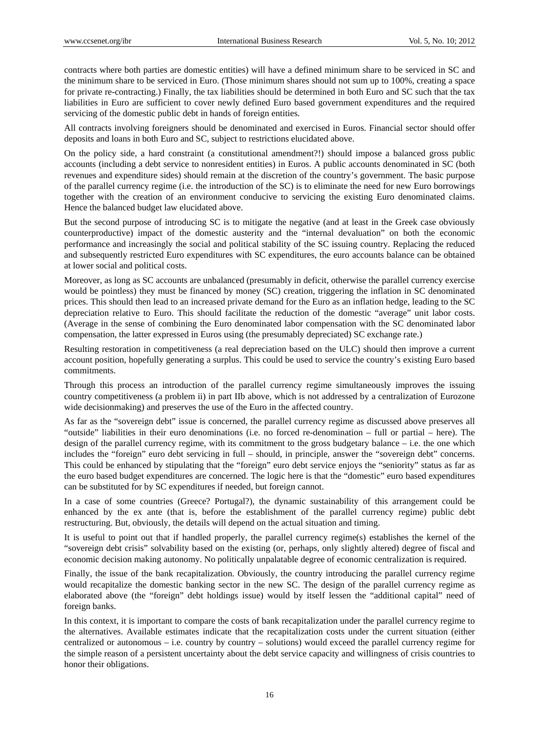contracts where both parties are domestic entities) will have a defined minimum share to be serviced in SC and the minimum share to be serviced in Euro. (Those minimum shares should not sum up to 100%, creating a space for private re-contracting.) Finally, the tax liabilities should be determined in both Euro and SC such that the tax liabilities in Euro are sufficient to cover newly defined Euro based government expenditures and the required servicing of the domestic public debt in hands of foreign entities.

All contracts involving foreigners should be denominated and exercised in Euros. Financial sector should offer deposits and loans in both Euro and SC, subject to restrictions elucidated above.

On the policy side, a hard constraint (a constitutional amendment?!) should impose a balanced gross public accounts (including a debt service to nonresident entities) in Euros. A public accounts denominated in SC (both revenues and expenditure sides) should remain at the discretion of the country's government. The basic purpose of the parallel currency regime (i.e. the introduction of the SC) is to eliminate the need for new Euro borrowings together with the creation of an environment conducive to servicing the existing Euro denominated claims. Hence the balanced budget law elucidated above.

But the second purpose of introducing SC is to mitigate the negative (and at least in the Greek case obviously counterproductive) impact of the domestic austerity and the "internal devaluation" on both the economic performance and increasingly the social and political stability of the SC issuing country. Replacing the reduced and subsequently restricted Euro expenditures with SC expenditures, the euro accounts balance can be obtained at lower social and political costs.

Moreover, as long as SC accounts are unbalanced (presumably in deficit, otherwise the parallel currency exercise would be pointless) they must be financed by money (SC) creation, triggering the inflation in SC denominated prices. This should then lead to an increased private demand for the Euro as an inflation hedge, leading to the SC depreciation relative to Euro. This should facilitate the reduction of the domestic "average" unit labor costs. (Average in the sense of combining the Euro denominated labor compensation with the SC denominated labor compensation, the latter expressed in Euros using (the presumably depreciated) SC exchange rate.)

Resulting restoration in competitiveness (a real depreciation based on the ULC) should then improve a current account position, hopefully generating a surplus. This could be used to service the country's existing Euro based commitments.

Through this process an introduction of the parallel currency regime simultaneously improves the issuing country competitiveness (a problem ii) in part IIb above, which is not addressed by a centralization of Eurozone wide decisionmaking) and preserves the use of the Euro in the affected country.

As far as the "sovereign debt" issue is concerned, the parallel currency regime as discussed above preserves all "outside" liabilities in their euro denominations (i.e. no forced re-denomination – full or partial – here). The design of the parallel currency regime, with its commitment to the gross budgetary balance – i.e. the one which includes the "foreign" euro debt servicing in full – should, in principle, answer the "sovereign debt" concerns. This could be enhanced by stipulating that the "foreign" euro debt service enjoys the "seniority" status as far as the euro based budget expenditures are concerned. The logic here is that the "domestic" euro based expenditures can be substituted for by SC expenditures if needed, but foreign cannot.

In a case of some countries (Greece? Portugal?), the dynamic sustainability of this arrangement could be enhanced by the ex ante (that is, before the establishment of the parallel currency regime) public debt restructuring. But, obviously, the details will depend on the actual situation and timing.

It is useful to point out that if handled properly, the parallel currency regime(s) establishes the kernel of the "sovereign debt crisis" solvability based on the existing (or, perhaps, only slightly altered) degree of fiscal and economic decision making autonomy. No politically unpalatable degree of economic centralization is required.

Finally, the issue of the bank recapitalization. Obviously, the country introducing the parallel currency regime would recapitalize the domestic banking sector in the new SC. The design of the parallel currency regime as elaborated above (the "foreign" debt holdings issue) would by itself lessen the "additional capital" need of foreign banks.

In this context, it is important to compare the costs of bank recapitalization under the parallel currency regime to the alternatives. Available estimates indicate that the recapitalization costs under the current situation (either centralized or autonomous – i.e. country by country – solutions) would exceed the parallel currency regime for the simple reason of a persistent uncertainty about the debt service capacity and willingness of crisis countries to honor their obligations.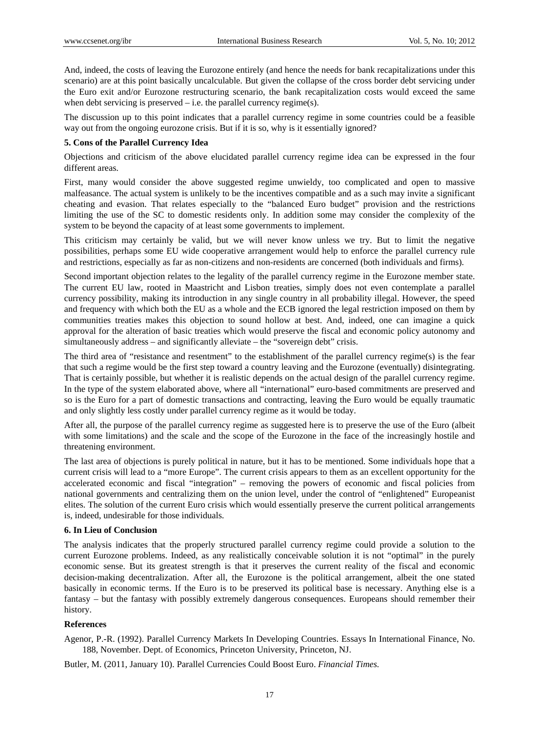And, indeed, the costs of leaving the Eurozone entirely (and hence the needs for bank recapitalizations under this scenario) are at this point basically uncalculable. But given the collapse of the cross border debt servicing under the Euro exit and/or Eurozone restructuring scenario, the bank recapitalization costs would exceed the same when debt servicing is preserved – i.e. the parallel currency regime(s).

The discussion up to this point indicates that a parallel currency regime in some countries could be a feasible way out from the ongoing eurozone crisis. But if it is so, why is it essentially ignored?

#### **5. Cons of the Parallel Currency Idea**

Objections and criticism of the above elucidated parallel currency regime idea can be expressed in the four different areas.

First, many would consider the above suggested regime unwieldy, too complicated and open to massive malfeasance. The actual system is unlikely to be the incentives compatible and as a such may invite a significant cheating and evasion. That relates especially to the "balanced Euro budget" provision and the restrictions limiting the use of the SC to domestic residents only. In addition some may consider the complexity of the system to be beyond the capacity of at least some governments to implement.

This criticism may certainly be valid, but we will never know unless we try. But to limit the negative possibilities, perhaps some EU wide cooperative arrangement would help to enforce the parallel currency rule and restrictions, especially as far as non-citizens and non-residents are concerned (both individuals and firms).

Second important objection relates to the legality of the parallel currency regime in the Eurozone member state. The current EU law, rooted in Maastricht and Lisbon treaties, simply does not even contemplate a parallel currency possibility, making its introduction in any single country in all probability illegal. However, the speed and frequency with which both the EU as a whole and the ECB ignored the legal restriction imposed on them by communities treaties makes this objection to sound hollow at best. And, indeed, one can imagine a quick approval for the alteration of basic treaties which would preserve the fiscal and economic policy autonomy and simultaneously address – and significantly alleviate – the "sovereign debt" crisis.

The third area of "resistance and resentment" to the establishment of the parallel currency regime(s) is the fear that such a regime would be the first step toward a country leaving and the Eurozone (eventually) disintegrating. That is certainly possible, but whether it is realistic depends on the actual design of the parallel currency regime. In the type of the system elaborated above, where all "international" euro-based commitments are preserved and so is the Euro for a part of domestic transactions and contracting, leaving the Euro would be equally traumatic and only slightly less costly under parallel currency regime as it would be today.

After all, the purpose of the parallel currency regime as suggested here is to preserve the use of the Euro (albeit with some limitations) and the scale and the scope of the Eurozone in the face of the increasingly hostile and threatening environment.

The last area of objections is purely political in nature, but it has to be mentioned. Some individuals hope that a current crisis will lead to a "more Europe". The current crisis appears to them as an excellent opportunity for the accelerated economic and fiscal "integration" – removing the powers of economic and fiscal policies from national governments and centralizing them on the union level, under the control of "enlightened" Europeanist elites. The solution of the current Euro crisis which would essentially preserve the current political arrangements is, indeed, undesirable for those individuals.

#### **6. In Lieu of Conclusion**

The analysis indicates that the properly structured parallel currency regime could provide a solution to the current Eurozone problems. Indeed, as any realistically conceivable solution it is not "optimal" in the purely economic sense. But its greatest strength is that it preserves the current reality of the fiscal and economic decision-making decentralization. After all, the Eurozone is the political arrangement, albeit the one stated basically in economic terms. If the Euro is to be preserved its political base is necessary. Anything else is a fantasy – but the fantasy with possibly extremely dangerous consequences. Europeans should remember their history.

### **References**

Agenor, P.-R. (1992). Parallel Currency Markets In Developing Countries. Essays In International Finance, No. 188, November. Dept. of Economics, Princeton University, Princeton, NJ.

Butler, M. (2011, January 10). Parallel Currencies Could Boost Euro. *Financial Times.*